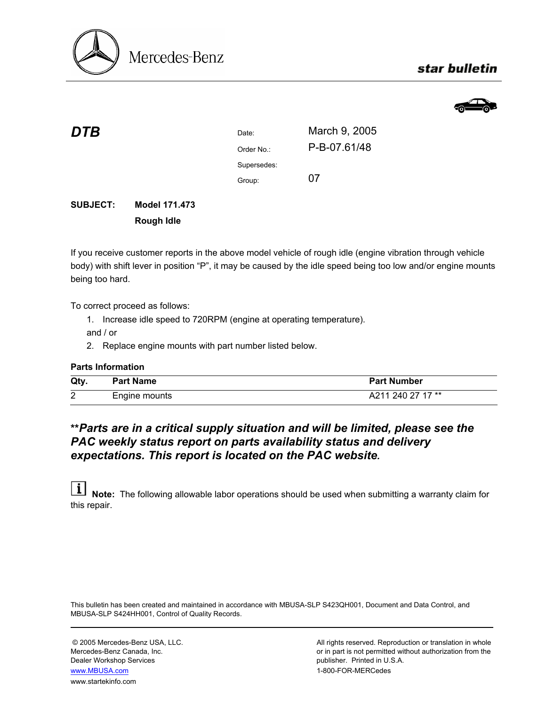

# star bulletin



| DTB | Date:       | March 9, 2005 |
|-----|-------------|---------------|
|     | Order No.:  | P-B-07.61/48  |
|     | Supersedes: |               |
|     | Group:      | 07            |
|     |             |               |

## **SUBJECT: Model 171.473 Rough Idle**

If you receive customer reports in the above model vehicle of rough idle (engine vibration through vehicle body) with shift lever in position "P", it may be caused by the idle speed being too low and/or engine mounts being too hard.

To correct proceed as follows:

1. Increase idle speed to 720RPM (engine at operating temperature).

and / or

2. Replace engine mounts with part number listed below.

### **Parts Information**

| Qty    | <b>Part Name</b> | <b>Part Number</b> |
|--------|------------------|--------------------|
| ົ<br>∠ | Engine mounts    | A211 240 27 17 **  |

# **\*\****Parts are in a critical supply situation and will be limited, please see the PAC weekly status report on parts availability status and delivery expectations. This report is located on the PAC website.*

**i** Note: The following allowable labor operations should be used when submitting a warranty claim for this repair.

This bulletin has been created and maintained in accordance with MBUSA-SLP S423QH001, Document and Data Control, and MBUSA-SLP S424HH001, Control of Quality Records.

Dealer Workshop Services publisher. Printed in U.S.A. www.MBUSA.com 1-800-FOR-MERCedes www.startekinfo.com

© 2005 Mercedes-Benz USA, LLC. All rights reserved. Reproduction or translation in whole Mercedes-Benz Canada, Inc. **or in part is not permitted without authorization from the**